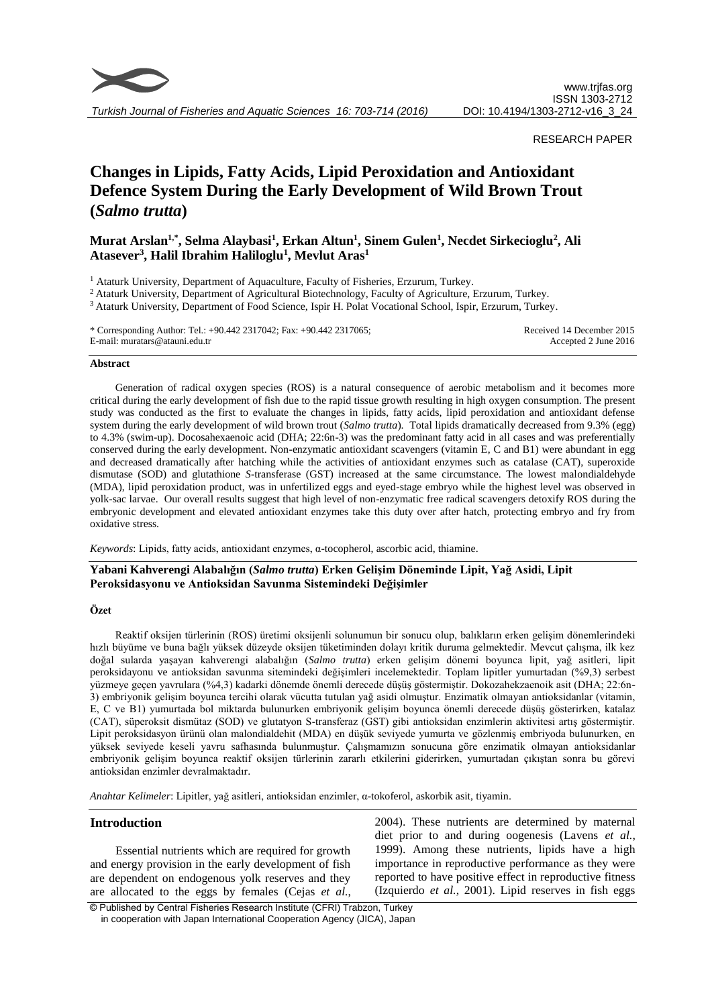

*Turkish Journal of Fisheries and Aquatic Sciences 16: 703-714 (2016)*

## RESEARCH PAPER

# **Changes in Lipids, Fatty Acids, Lipid Peroxidation and Antioxidant Defence System During the Early Development of Wild Brown Trout (***Salmo trutta***)**

# **Murat Arslan1,\* , Selma Alaybasi<sup>1</sup> , Erkan Altun<sup>1</sup> , Sinem Gulen<sup>1</sup> , Necdet Sirkecioglu<sup>2</sup> , Ali Atasever<sup>3</sup> , Halil Ibrahim Haliloglu<sup>1</sup> , Mevlut Aras<sup>1</sup>**

<sup>1</sup> Ataturk University, Department of Aquaculture, Faculty of Fisheries, Erzurum, Turkey.

<sup>2</sup> Ataturk University, Department of Agricultural Biotechnology, Faculty of Agriculture, Erzurum, Turkey.

<sup>3</sup> Ataturk University, Department of Food Science, Ispir H. Polat Vocational School, Ispir, Erzurum, Turkey.

\* Corresponding Author: Tel.: +90.442 2317042; Fax: +90.442 2317065; E-mail: muratars@atauni.edu.tr

Received 14 December 2015 Accepted 2 June 2016

#### **Abstract**

Generation of radical oxygen species (ROS) is a natural consequence of aerobic metabolism and it becomes more critical during the early development of fish due to the rapid tissue growth resulting in high oxygen consumption. The present study was conducted as the first to evaluate the changes in lipids, fatty acids, lipid peroxidation and antioxidant defense system during the early development of wild brown trout (*Salmo trutta*). Total lipids dramatically decreased from 9.3% (egg) to 4.3% (swim-up). Docosahexaenoic acid (DHA; 22:6n-3) was the predominant fatty acid in all cases and was preferentially conserved during the early development. Non-enzymatic antioxidant scavengers (vitamin E, C and B1) were abundant in egg and decreased dramatically after hatching while the activities of antioxidant enzymes such as catalase (CAT), superoxide dismutase (SOD) and glutathione *S*-transferase (GST) increased at the same circumstance. The lowest malondialdehyde (MDA), lipid peroxidation product, was in unfertilized eggs and eyed-stage embryo while the highest level was observed in yolk-sac larvae. Our overall results suggest that high level of non-enzymatic free radical scavengers detoxify ROS during the embryonic development and elevated antioxidant enzymes take this duty over after hatch, protecting embryo and fry from oxidative stress.

*Keywords*: Lipids, fatty acids, antioxidant enzymes, α-tocopherol, ascorbic acid, thiamine.

# **Yabani Kahverengi Alabalığın (***Salmo trutta***) Erken Gelişim Döneminde Lipit, Yağ Asidi, Lipit Peroksidasyonu ve Antioksidan Savunma Sistemindeki Değişimler**

## **Özet**

Reaktif oksijen türlerinin (ROS) üretimi oksijenli solunumun bir sonucu olup, balıkların erken gelişim dönemlerindeki hızlı büyüme ve buna bağlı yüksek düzeyde oksijen tüketiminden dolayı kritik duruma gelmektedir. Mevcut çalışma, ilk kez doğal sularda yaşayan kahverengi alabalığın (*Salmo trutta*) erken gelişim dönemi boyunca lipit, yağ asitleri, lipit peroksidayonu ve antioksidan savunma sitemindeki değişimleri incelemektedir. Toplam lipitler yumurtadan (%9,3) serbest yüzmeye geçen yavrulara (%4,3) kadarki dönemde önemli derecede düşüş göstermiştir. Dokozahekzaenoik asit (DHA; 22:6n-3) embriyonik gelişim boyunca tercihi olarak vücutta tutulan yağ asidi olmuştur. Enzimatik olmayan antioksidanlar (vitamin, E, C ve B1) yumurtada bol miktarda bulunurken embriyonik gelişim boyunca önemli derecede düşüş gösterirken, katalaz (CAT), süperoksit dismütaz (SOD) ve glutatyon S-transferaz (GST) gibi antioksidan enzimlerin aktivitesi artış göstermiştir. Lipit peroksidasyon ürünü olan malondialdehit (MDA) en düşük seviyede yumurta ve gözlenmiş embriyoda bulunurken, en yüksek seviyede keseli yavru safhasında bulunmuştur. Çalışmamızın sonucuna göre enzimatik olmayan antioksidanlar embriyonik gelişim boyunca reaktif oksijen türlerinin zararlı etkilerini giderirken, yumurtadan çıkıştan sonra bu görevi antioksidan enzimler devralmaktadır.

*Anahtar Kelimeler*: Lipitler, yağ asitleri, antioksidan enzimler, α-tokoferol, askorbik asit, tiyamin.

## **Introduction**

Essential nutrients which are required for growth and energy provision in the early development of fish are dependent on endogenous yolk reserves and they are allocated to the eggs by females (Cejas *et al.*, 2004). These nutrients are determined by maternal diet prior to and during oogenesis (Lavens *et al.*, 1999). Among these nutrients, lipids have a high importance in reproductive performance as they were reported to have positive effect in reproductive fitness (Izquierdo *et al.*, 2001). Lipid reserves in fish eggs

© Published by Central Fisheries Research Institute (CFRI) Trabzon, Turkey in cooperation with Japan International Cooperation Agency (JICA), Japan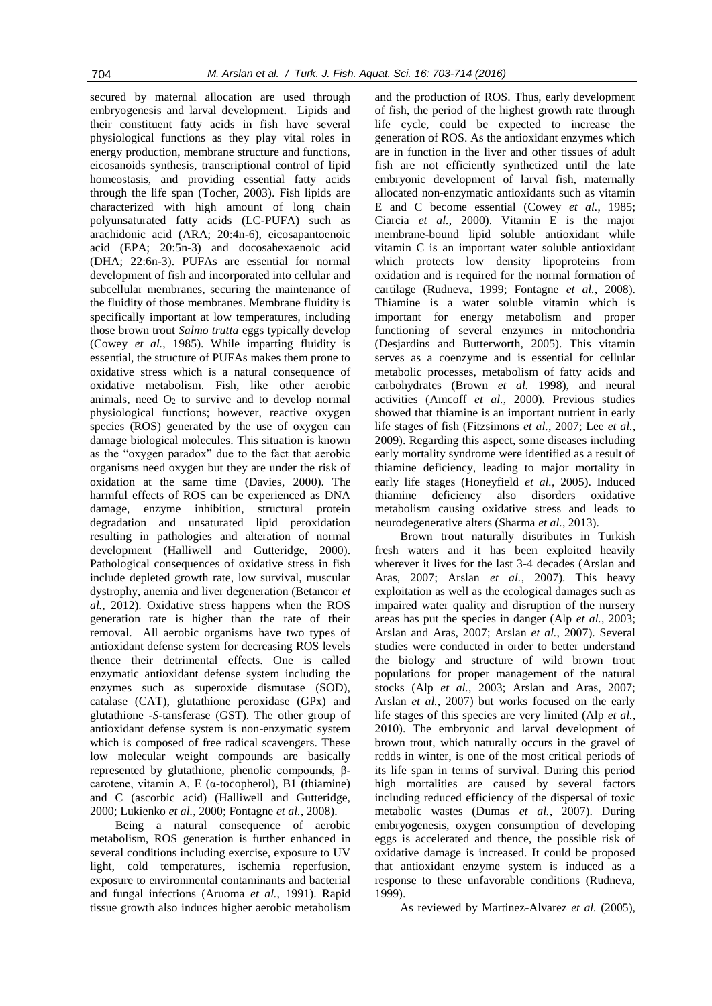secured by maternal allocation are used through embryogenesis and larval development. Lipids and their constituent fatty acids in fish have several physiological functions as they play vital roles in energy production, membrane structure and functions, eicosanoids synthesis, transcriptional control of lipid homeostasis, and providing essential fatty acids through the life span (Tocher, 2003). Fish lipids are characterized with high amount of long chain polyunsaturated fatty acids (LC-PUFA) such as arachidonic acid (ARA; 20:4n-6), eicosapantoenoic acid (EPA; 20:5n-3) and docosahexaenoic acid (DHA; 22:6n-3). PUFAs are essential for normal development of fish and incorporated into cellular and subcellular membranes, securing the maintenance of the fluidity of those membranes. Membrane fluidity is specifically important at low temperatures, including those brown trout *Salmo trutta* eggs typically develop (Cowey *et al.*, 1985). While imparting fluidity is essential, the structure of PUFAs makes them prone to oxidative stress which is a natural consequence of oxidative metabolism. Fish, like other aerobic animals, need  $O<sub>2</sub>$  to survive and to develop normal physiological functions; however, reactive oxygen species (ROS) generated by the use of oxygen can damage biological molecules. This situation is known as the "oxygen paradox" due to the fact that aerobic organisms need oxygen but they are under the risk of oxidation at the same time (Davies, 2000). The harmful effects of ROS can be experienced as DNA damage, enzyme inhibition, structural protein degradation and unsaturated lipid peroxidation resulting in pathologies and alteration of normal development (Halliwell and Gutteridge, 2000). Pathological consequences of oxidative stress in fish include depleted growth rate, low survival, muscular dystrophy, anemia and liver degeneration (Betancor *et al.*, 2012). Oxidative stress happens when the ROS generation rate is higher than the rate of their removal. All aerobic organisms have two types of antioxidant defense system for decreasing ROS levels thence their detrimental effects. One is called enzymatic antioxidant defense system including the enzymes such as superoxide dismutase (SOD), catalase (CAT), glutathione peroxidase (GPx) and glutathione -*S*-tansferase (GST). The other group of antioxidant defense system is non-enzymatic system which is composed of free radical scavengers. These low molecular weight compounds are basically represented by glutathione, phenolic compounds, βcarotene, vitamin A, E (α-tocopherol), B1 (thiamine) and C (ascorbic acid) (Halliwell and Gutteridge, 2000; Lukienko *et al.*, 2000; Fontagne *et al.*, 2008).

Being a natural consequence of aerobic metabolism, ROS generation is further enhanced in several conditions including exercise, exposure to UV light, cold temperatures, ischemia reperfusion, exposure to environmental contaminants and bacterial and fungal infections (Aruoma *et al.*, 1991). Rapid tissue growth also induces higher aerobic metabolism

and the production of ROS. Thus, early development of fish, the period of the highest growth rate through life cycle, could be expected to increase the generation of ROS. As the antioxidant enzymes which are in function in the liver and other tissues of adult fish are not efficiently synthetized until the late embryonic development of larval fish, maternally allocated non-enzymatic antioxidants such as vitamin E and C become essential (Cowey *et al.*, 1985; Ciarcia *et al.*, 2000). Vitamin E is the major membrane-bound lipid soluble antioxidant while vitamin C is an important water soluble antioxidant which protects low density lipoproteins from oxidation and is required for the normal formation of cartilage (Rudneva, 1999; Fontagne *et al.*, 2008). Thiamine is a water soluble vitamin which is important for energy metabolism and proper functioning of several enzymes in mitochondria (Desjardins and Butterworth, 2005). This vitamin serves as a coenzyme and is essential for cellular metabolic processes, metabolism of fatty acids and carbohydrates (Brown *et al.* 1998), and neural activities (Amcoff *et al.*, 2000). Previous studies showed that thiamine is an important nutrient in early life stages of fish (Fitzsimons *et al.*, 2007; Lee *et al.*, 2009). Regarding this aspect, some diseases including early mortality syndrome were identified as a result of thiamine deficiency, leading to major mortality in early life stages (Honeyfield *et al.*, 2005). Induced thiamine deficiency also disorders oxidative metabolism causing oxidative stress and leads to neurodegenerative alters (Sharma *et al.*, 2013).

Brown trout naturally distributes in Turkish fresh waters and it has been exploited heavily wherever it lives for the last 3-4 decades (Arslan and Aras, 2007; Arslan *et al.*, 2007). This heavy exploitation as well as the ecological damages such as impaired water quality and disruption of the nursery areas has put the species in danger (Alp *et al.*, 2003; Arslan and Aras, 2007; Arslan *et al.*, 2007). Several studies were conducted in order to better understand the biology and structure of wild brown trout populations for proper management of the natural stocks (Alp *et al.*, 2003; Arslan and Aras, 2007; Arslan *et al.*, 2007) but works focused on the early life stages of this species are very limited (Alp *et al.*, 2010). The embryonic and larval development of brown trout, which naturally occurs in the gravel of redds in winter, is one of the most critical periods of its life span in terms of survival. During this period high mortalities are caused by several factors including reduced efficiency of the dispersal of toxic metabolic wastes (Dumas *et al.*, 2007). During embryogenesis, oxygen consumption of developing eggs is accelerated and thence, the possible risk of oxidative damage is increased. It could be proposed that antioxidant enzyme system is induced as a response to these unfavorable conditions (Rudneva, 1999).

As reviewed by Martinez-Alvarez *et al.* (2005),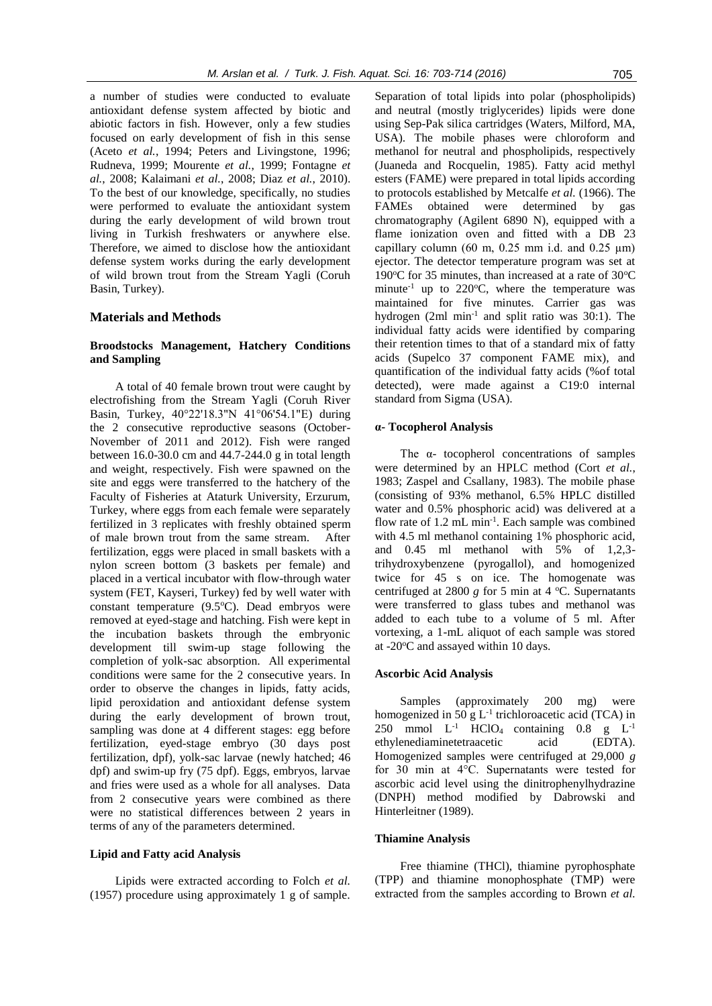a number of studies were conducted to evaluate antioxidant defense system affected by biotic and abiotic factors in fish. However, only a few studies focused on early development of fish in this sense (Aceto *et al.*, 1994; Peters and Livingstone, 1996; Rudneva, 1999; Mourente *et al.*, 1999; Fontagne *et al.*, 2008; Kalaimani *et al.*, 2008; Diaz *et al.*, 2010). To the best of our knowledge, specifically, no studies were performed to evaluate the antioxidant system during the early development of wild brown trout living in Turkish freshwaters or anywhere else. Therefore, we aimed to disclose how the antioxidant defense system works during the early development of wild brown trout from the Stream Yagli (Coruh Basin, Turkey).

#### **Materials and Methods**

# **Broodstocks Management, Hatchery Conditions and Sampling**

A total of 40 female brown trout were caught by electrofishing from the Stream Yagli (Coruh River Basin, Turkey, 40°22'18.3"N 41°06'54.1"E) during the 2 consecutive reproductive seasons (October-November of 2011 and 2012). Fish were ranged between 16.0-30.0 cm and 44.7-244.0 g in total length and weight, respectively. Fish were spawned on the site and eggs were transferred to the hatchery of the Faculty of Fisheries at Ataturk University, Erzurum, Turkey, where eggs from each female were separately fertilized in 3 replicates with freshly obtained sperm of male brown trout from the same stream. After fertilization, eggs were placed in small baskets with a nylon screen bottom (3 baskets per female) and placed in a vertical incubator with flow-through water system (FET, Kayseri, Turkey) fed by well water with constant temperature  $(9.5^{\circ}C)$ . Dead embryos were removed at eyed-stage and hatching. Fish were kept in the incubation baskets through the embryonic development till swim-up stage following the completion of yolk-sac absorption. All experimental conditions were same for the 2 consecutive years. In order to observe the changes in lipids, fatty acids, lipid peroxidation and antioxidant defense system during the early development of brown trout, sampling was done at 4 different stages: egg before fertilization, eyed-stage embryo (30 days post fertilization, dpf), yolk-sac larvae (newly hatched; 46 dpf) and swim-up fry (75 dpf). Eggs, embryos, larvae and fries were used as a whole for all analyses. Data from 2 consecutive years were combined as there were no statistical differences between 2 years in terms of any of the parameters determined.

#### **Lipid and Fatty acid Analysis**

Lipids were extracted according to Folch *et al.* (1957) procedure using approximately 1 g of sample.

Separation of total lipids into polar (phospholipids) and neutral (mostly triglycerides) lipids were done using Sep-Pak silica cartridges (Waters, Milford, MA, USA). The mobile phases were chloroform and methanol for neutral and phospholipids, respectively (Juaneda and Rocquelin, 1985). Fatty acid methyl esters (FAME) were prepared in total lipids according to protocols established by Metcalfe *et al.* (1966). The FAMEs obtained were determined by gas chromatography (Agilent 6890 N), equipped with a flame ionization oven and fitted with a DB 23 capillary column (60 m,  $0.25$  mm i.d. and  $0.25$  µm) ejector. The detector temperature program was set at 190 $\degree$ C for 35 minutes, than increased at a rate of 30 $\degree$ C minute<sup>-1</sup> up to 220 $^{\circ}$ C, where the temperature was maintained for five minutes. Carrier gas was hydrogen (2ml min<sup>-1</sup> and split ratio was 30:1). The individual fatty acids were identified by comparing their retention times to that of a standard mix of fatty acids (Supelco 37 component FAME mix), and quantification of the individual fatty acids (%of total detected), were made against a C19:0 internal standard from Sigma (USA).

#### **α- Tocopherol Analysis**

The α- tocopherol concentrations of samples were determined by an HPLC method (Cort *et al.*, 1983; Zaspel and Csallany, 1983). The mobile phase (consisting of 93% methanol, 6.5% HPLC distilled water and 0.5% phosphoric acid) was delivered at a flow rate of 1.2 mL min<sup>-1</sup>. Each sample was combined with 4.5 ml methanol containing 1% phosphoric acid, and 0.45 ml methanol with 5% of 1,2,3 trihydroxybenzene (pyrogallol), and homogenized twice for 45 s on ice. The homogenate was centrifuged at 2800  $g$  for 5 min at 4  $^{\circ}$ C. Supernatants were transferred to glass tubes and methanol was added to each tube to a volume of 5 ml. After vortexing, a 1-mL aliquot of each sample was stored at -20 $\rm{^{\circ}C}$  and assayed within 10 days.

#### **Ascorbic Acid Analysis**

Samples (approximately 200 mg) were homogenized in 50 g  $L^{-1}$  trichloroacetic acid (TCA) in 250 mmol  $L^{-1}$  HClO<sub>4</sub> containing 0.8 g  $L^{-1}$ ethylenediaminetetraacetic acid (EDTA). Homogenized samples were centrifuged at 29,000 *g* for 30 min at 4°C. Supernatants were tested for ascorbic acid level using the dinitrophenylhydrazine (DNPH) method modified by Dabrowski and Hinterleitner (1989).

#### **Thiamine Analysis**

Free thiamine (THCl), thiamine pyrophosphate (TPP) and thiamine monophosphate (TMP) were extracted from the samples according to Brown *et al.*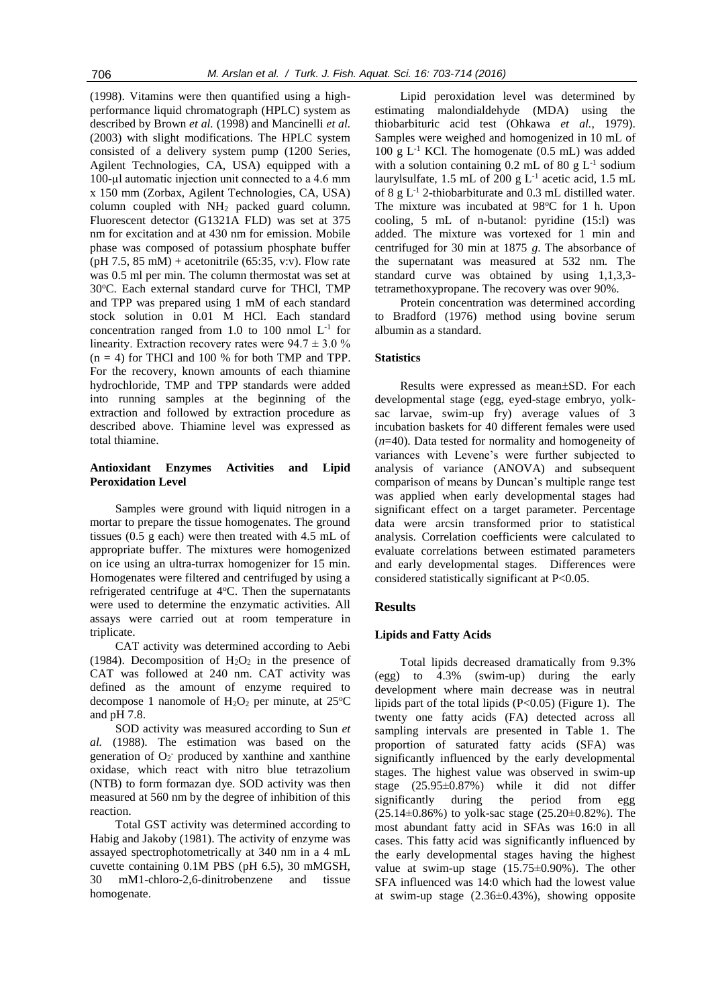(1998). Vitamins were then quantified using a highperformance liquid chromatograph (HPLC) system as described by Brown *et al.* (1998) and Mancinelli *et al.* (2003) with slight modifications. The HPLC system consisted of a delivery system pump (1200 Series, Agilent Technologies, CA, USA) equipped with a 100-µl automatic injection unit connected to a 4.6 mm x 150 mm (Zorbax, Agilent Technologies, CA, USA) column coupled with NH<sup>2</sup> packed guard column. Fluorescent detector (G1321A FLD) was set at 375 nm for excitation and at 430 nm for emission. Mobile phase was composed of potassium phosphate buffer  $(pH 7.5, 85 \text{ mM}) +$  acetonitrile (65:35, v:v). Flow rate was 0.5 ml per min. The column thermostat was set at 30°C. Each external standard curve for THCl, TMP and TPP was prepared using 1 mM of each standard stock solution in 0.01 M HCl. Each standard concentration ranged from 1.0 to 100 nmol  $L^{-1}$  for linearity. Extraction recovery rates were  $94.7 \pm 3.0$  %  $(n = 4)$  for THCl and 100 % for both TMP and TPP. For the recovery, known amounts of each thiamine hydrochloride, TMP and TPP standards were added into running samples at the beginning of the extraction and followed by extraction procedure as described above. Thiamine level was expressed as total thiamine.

### **Antioxidant Enzymes Activities and Lipid Peroxidation Level**

Samples were ground with liquid nitrogen in a mortar to prepare the tissue homogenates. The ground tissues (0.5 g each) were then treated with 4.5 mL of appropriate buffer. The mixtures were homogenized on ice using an ultra-turrax homogenizer for 15 min. Homogenates were filtered and centrifuged by using a refrigerated centrifuge at 4°C. Then the supernatants were used to determine the enzymatic activities. All assays were carried out at room temperature in triplicate.

CAT activity was determined according to Aebi (1984). Decomposition of  $H_2O_2$  in the presence of CAT was followed at 240 nm. CAT activity was defined as the amount of enzyme required to decompose 1 nanomole of  $H_2O_2$  per minute, at 25<sup>o</sup>C and pH 7.8.

SOD activity was measured according to Sun *et al.* (1988). The estimation was based on the generation of  $O_2$ <sup>-</sup> produced by xanthine and xanthine oxidase, which react with nitro blue tetrazolium (NTB) to form formazan dye. SOD activity was then measured at 560 nm by the degree of inhibition of this reaction.

Total GST activity was determined according to Habig and Jakoby (1981). The activity of enzyme was assayed spectrophotometrically at 340 nm in a 4 mL cuvette containing 0.1M PBS (pH 6.5), 30 mMGSH, 30 mM1-chloro-2,6-dinitrobenzene and tissue homogenate.

Lipid peroxidation level was determined by estimating malondialdehyde (MDA) using the thiobarbituric acid test (Ohkawa *et al.*, 1979). Samples were weighed and homogenized in 10 mL of 100 g  $L^{-1}$  KCl. The homogenate (0.5 mL) was added with a solution containing  $0.2$  mL of  $80$  g L<sup>-1</sup> sodium laurylsulfate, 1.5 mL of 200 g  $L^{-1}$  acetic acid, 1.5 mL of 8 g  $L^{-1}$  2-thiobarbiturate and 0.3 mL distilled water. The mixture was incubated at  $98^{\circ}$ C for 1 h. Upon cooling, 5 mL of n-butanol: pyridine (15:l) was added. The mixture was vortexed for 1 min and centrifuged for 30 min at 1875 *g*. The absorbance of the supernatant was measured at 532 nm. The standard curve was obtained by using 1,1,3,3 tetramethoxypropane. The recovery was over 90%.

Protein concentration was determined according to Bradford (1976) method using bovine serum albumin as a standard.

## **Statistics**

Results were expressed as mean±SD. For each developmental stage (egg, eyed-stage embryo, yolksac larvae, swim-up fry) average values of 3 incubation baskets for 40 different females were used (*n*=40). Data tested for normality and homogeneity of variances with Levene's were further subjected to analysis of variance (ANOVA) and subsequent comparison of means by Duncan's multiple range test was applied when early developmental stages had significant effect on a target parameter. Percentage data were arcsin transformed prior to statistical analysis. Correlation coefficients were calculated to evaluate correlations between estimated parameters and early developmental stages. Differences were considered statistically significant at P<0.05.

## **Results**

## **Lipids and Fatty Acids**

Total lipids decreased dramatically from 9.3% (egg) to 4.3% (swim-up) during the early development where main decrease was in neutral lipids part of the total lipids (P<0.05) (Figure 1). The twenty one fatty acids (FA) detected across all sampling intervals are presented in Table 1. The proportion of saturated fatty acids (SFA) was significantly influenced by the early developmental stages. The highest value was observed in swim-up stage (25.95±0.87%) while it did not differ significantly during the period from egg  $(25.14\pm0.86\%)$  to yolk-sac stage  $(25.20\pm0.82\%)$ . The most abundant fatty acid in SFAs was 16:0 in all cases. This fatty acid was significantly influenced by the early developmental stages having the highest value at swim-up stage (15.75±0.90%). The other SFA influenced was 14:0 which had the lowest value at swim-up stage (2.36±0.43%), showing opposite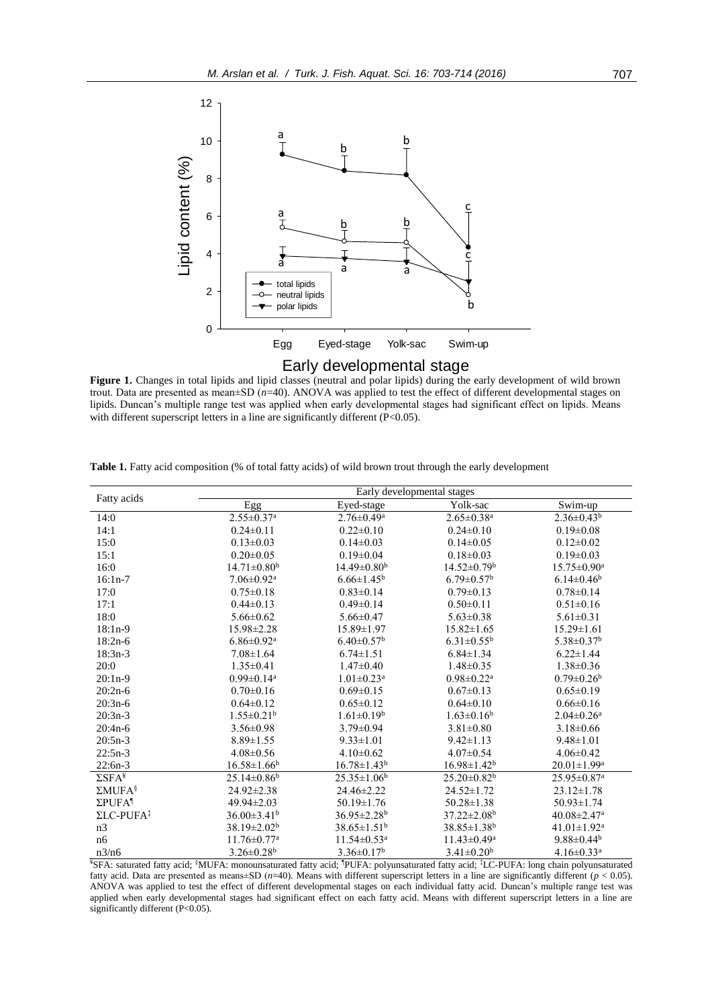

Figure 1. Changes in total lipids and lipid classes (neutral and polar lipids) during the early development of wild brown trout. Data are presented as mean±SD (*n*=40). ANOVA was applied to test the effect of different developmental stages on lipids. Duncan's multiple range test was applied when early developmental stages had significant effect on lipids. Means with different superscript letters in a line are significantly different (P<0.05).

| Fatty acids                   | Early developmental stages    |                                             |                              |                               |
|-------------------------------|-------------------------------|---------------------------------------------|------------------------------|-------------------------------|
|                               | Egg                           | Eyed-stage                                  | Yolk-sac                     | Swim-up                       |
| 14:0                          | $2.55 \pm 0.37$ <sup>a</sup>  | $2.76 \pm 0.49^a$                           | $2.65 \pm 0.38$ <sup>a</sup> | $2.36 \pm 0.43^b$             |
| 14:1                          | $0.24 \pm 0.11$               | $0.22 \pm 0.10$                             | $0.24 \pm 0.10$              | $0.19 \pm 0.08$               |
| 15:0                          | $0.13 \pm 0.03$               | $0.14 \pm 0.03$                             | $0.14 \pm 0.05$              | $0.12 \pm 0.02$               |
| 15:1                          | $0.20 \pm 0.05$               | $0.19 \pm 0.04$                             | $0.18 \pm 0.03$              | $0.19 \pm 0.03$               |
| 16:0                          | $14.71 \pm 0.80^b$            | $14.49 \pm 0.80^b$                          | $14.52 \pm 0.79^b$           | $15.75 \pm 0.90^{\text{a}}$   |
| $16:1n-7$                     | $7.06 \pm 0.92$ <sup>a</sup>  | $6.66 \pm 1.45^b$                           | $6.79 \pm 0.57$ <sup>b</sup> | $6.14 \pm 0.46$ <sup>b</sup>  |
| 17:0                          | $0.75 \pm 0.18$               | $0.83 \pm 0.14$                             | $0.79 \pm 0.13$              | $0.78 \pm 0.14$               |
| 17:1                          | $0.44\pm 0.13$                | $0.49 \pm 0.14$                             | $0.50 \pm 0.11$              | $0.51 \pm 0.16$               |
| 18:0                          | $5.66 \pm 0.62$               | $5.66 \pm 0.47$                             | $5.63 \pm 0.38$              | $5.61 \pm 0.31$               |
| $18:1n-9$                     | 15.98±2.28                    | 15.89±1.97                                  | $15.82 \pm 1.65$             | $15.29 \pm 1.61$              |
| $18:2n-6$                     | $6.86 \pm 0.92$ <sup>a</sup>  | $6.40 \pm 0.57$ <sup>b</sup>                | $6.31 \pm 0.55^{\rm b}$      | $5.38 \pm 0.37$ <sup>b</sup>  |
| $18:3n-3$                     | $7.08 \pm 1.64$               | $6.74 \pm 1.51$                             | $6.84 \pm 1.34$              | $6.22 \pm 1.44$               |
| 20:0                          | $1.35 \pm 0.41$               | $1.47\pm0.40$                               | $1.48 \pm 0.35$              | $1.38 \pm 0.36$               |
| $20:1n-9$                     | $0.99 \pm 0.14$ <sup>a</sup>  | $1.01 \pm 0.23$ <sup>a</sup>                | $0.98 \pm 0.22$ <sup>a</sup> | $0.79 \pm 0.26^b$             |
| $20:2n-6$                     | $0.70 \pm 0.16$               | $0.69 \pm 0.15$                             | $0.67 \pm 0.13$              | $0.65 \pm 0.19$               |
| $20:3n-6$                     | $0.64\pm0.12$                 | $0.65 \pm 0.12$                             | $0.64\pm0.10$                | $0.66 \pm 0.16$               |
| $20:3n-3$                     | $1.55 \pm 0.21^b$             | $1.61 \pm 0.19^b$                           | $1.63 \pm 0.16^b$            | $2.04 \pm 0.26$ <sup>a</sup>  |
| $20:4n-6$                     | $3.56 \pm 0.98$               | $3.79 \pm 0.94$                             | $3.81 \pm 0.80$              | $3.18 \pm 0.66$               |
| $20:5n-3$                     | $8.89 \pm 1.55$               | $9.33 \pm 1.01$                             | $9.42 \pm 1.13$              | $9.48 \pm 1.01$               |
| $22:5n-3$                     | $4.08 \pm 0.56$               | $4.10 \pm 0.62$                             | $4.07\pm0.54$                | $4.06 \pm 0.42$               |
| $22:6n-3$                     | $16.58 \pm 1.66^b$            | $16.78 \pm 1.43^b$                          | $16.98 \pm 1.42^b$           | $20.01 \pm 1.99^a$            |
| $\Sigma$ SFA <sup>¥</sup>     | $25.14 \pm 0.86$ <sup>b</sup> | $25.35 \pm 1.06^b$                          | $25.20 \pm 0.82^b$           | $25.95 \pm 0.87$ <sup>a</sup> |
| $\Sigma MUFA^{\S}$            | 24.92±2.38                    | 24.46±2.22                                  | $24.52 \pm 1.72$             | $23.12 \pm 1.78$              |
| ΣPUFA <sup>1</sup>            | 49.94±2.03                    | $50.19 \pm 1.76$                            | $50.28 \pm 1.38$             | $50.93 \pm 1.74$              |
| $\Sigma$ LC-PUFA <sup>‡</sup> | $36.00 \pm 3.41$ <sup>b</sup> | $36.95 \pm 2.28$ <sup>b</sup>               | $37.22 \pm 2.08^b$           | $40.08 \pm 2.47$ <sup>a</sup> |
| n <sub>3</sub>                | $38.19 \pm 2.02^b$            | $38.65 \pm 1.51^b$                          | $38.85 \pm 1.38^b$           | $41.01 \pm 1.92$ <sup>a</sup> |
| n6                            | $11.76 \pm 0.77$ <sup>a</sup> | $11.54 \pm 0.53$ <sup>a</sup>               | $11.43 \pm 0.49^a$           | $9.88\pm0.44b$                |
| n3/n6                         | $3.26 \pm 0.28$ <sup>b</sup>  | $3.36 \pm 0.17^b$<br>$\cdots$ form $\cdots$ | $3.41 \pm 0.20^b$<br>$+$ $-$ | $4.16 \pm 0.33$ <sup>a</sup>  |

**Table 1.** Fatty acid composition (% of total fatty acids) of wild brown trout through the early development

¥SFA: saturated fatty acid; §MUFA: monounsaturated fatty acid; ¶PUFA: polyunsaturated fatty acid; ‡LC-PUFA: long chain polyunsaturated fatty acid. Data are presented as means±SD (*n*=40). Means with different superscript letters in a line are significantly different (*p* < 0.05). ANOVA was applied to test the effect of different developmental stages on each individual fatty acid. Duncan's multiple range test was applied when early developmental stages had significant effect on each fatty acid. Means with different superscript letters in a line are significantly different (P<0.05).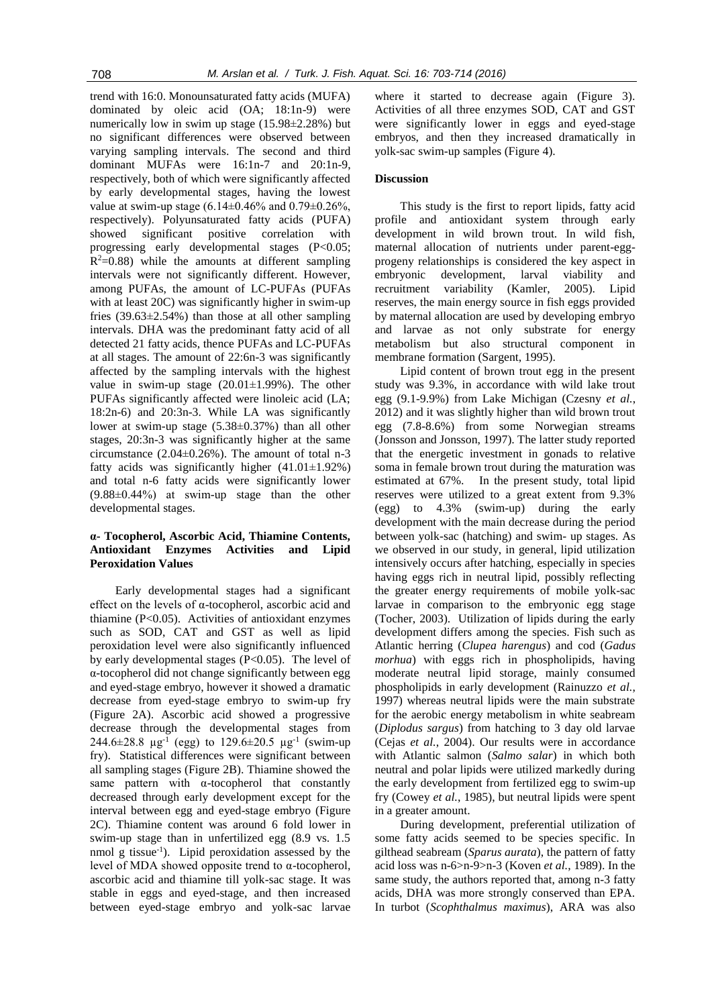trend with 16:0. Monounsaturated fatty acids (MUFA) dominated by oleic acid (OA; 18:1n-9) were numerically low in swim up stage (15.98±2.28%) but no significant differences were observed between varying sampling intervals. The second and third dominant MUFAs were 16:1n-7 and 20:1n-9, respectively, both of which were significantly affected by early developmental stages, having the lowest value at swim-up stage  $(6.14\pm0.46\%$  and  $0.79\pm0.26\%$ , respectively). Polyunsaturated fatty acids (PUFA) showed significant positive correlation with progressing early developmental stages (P<0.05;  $R^2$ =0.88) while the amounts at different sampling intervals were not significantly different. However, among PUFAs, the amount of LC-PUFAs (PUFAs with at least 20C) was significantly higher in swim-up fries  $(39.63\pm2.54\%)$  than those at all other sampling intervals. DHA was the predominant fatty acid of all detected 21 fatty acids, thence PUFAs and LC-PUFAs at all stages. The amount of 22:6n-3 was significantly affected by the sampling intervals with the highest value in swim-up stage (20.01±1.99%). The other PUFAs significantly affected were linoleic acid (LA; 18:2n-6) and 20:3n-3. While LA was significantly lower at swim-up stage (5.38±0.37%) than all other stages, 20:3n-3 was significantly higher at the same circumstance (2.04±0.26%). The amount of total n-3 fatty acids was significantly higher  $(41.01 \pm 1.92\%)$ and total n-6 fatty acids were significantly lower (9.88±0.44%) at swim-up stage than the other developmental stages.

# **α- Tocopherol, Ascorbic Acid, Thiamine Contents, Antioxidant Enzymes Activities and Lipid Peroxidation Values**

Early developmental stages had a significant effect on the levels of α-tocopherol, ascorbic acid and thiamine (P<0.05). Activities of antioxidant enzymes such as SOD, CAT and GST as well as lipid peroxidation level were also significantly influenced by early developmental stages (P<0.05). The level of α-tocopherol did not change significantly between egg and eyed-stage embryo, however it showed a dramatic decrease from eyed-stage embryo to swim-up fry (Figure 2A). Ascorbic acid showed a progressive decrease through the developmental stages from 244.6 $\pm$ 28.8  $\mu$ g<sup>-1</sup> (egg) to 129.6 $\pm$ 20.5  $\mu$ g<sup>-1</sup> (swim-up fry). Statistical differences were significant between all sampling stages (Figure 2B). Thiamine showed the same pattern with  $\alpha$ -tocopherol that constantly decreased through early development except for the interval between egg and eyed-stage embryo (Figure 2C). Thiamine content was around 6 fold lower in swim-up stage than in unfertilized egg (8.9 vs. 1.5 nmol g tissue-1 ). Lipid peroxidation assessed by the level of MDA showed opposite trend to α-tocopherol, ascorbic acid and thiamine till yolk-sac stage. It was stable in eggs and eyed-stage, and then increased between eyed-stage embryo and yolk-sac larvae

where it started to decrease again (Figure 3). Activities of all three enzymes SOD, CAT and GST were significantly lower in eggs and eyed-stage embryos, and then they increased dramatically in yolk-sac swim-up samples (Figure 4).

#### **Discussion**

This study is the first to report lipids, fatty acid profile and antioxidant system through early development in wild brown trout. In wild fish, maternal allocation of nutrients under parent-eggprogeny relationships is considered the key aspect in embryonic development, larval viability and recruitment variability (Kamler, 2005). Lipid reserves, the main energy source in fish eggs provided by maternal allocation are used by developing embryo and larvae as not only substrate for energy metabolism but also structural component in membrane formation (Sargent, 1995).

Lipid content of brown trout egg in the present study was 9.3%, in accordance with wild lake trout egg (9.1-9.9%) from Lake Michigan (Czesny *et al.*, 2012) and it was slightly higher than wild brown trout egg (7.8-8.6%) from some Norwegian streams (Jonsson and Jonsson, 1997). The latter study reported that the energetic investment in gonads to relative soma in female brown trout during the maturation was estimated at 67%. In the present study, total lipid reserves were utilized to a great extent from 9.3% (egg) to 4.3% (swim-up) during the early development with the main decrease during the period between yolk-sac (hatching) and swim- up stages. As we observed in our study, in general, lipid utilization intensively occurs after hatching, especially in species having eggs rich in neutral lipid, possibly reflecting the greater energy requirements of mobile yolk-sac larvae in comparison to the embryonic egg stage (Tocher, 2003). Utilization of lipids during the early development differs among the species. Fish such as Atlantic herring (*Clupea harengus*) and cod (*Gadus morhua*) with eggs rich in phospholipids, having moderate neutral lipid storage, mainly consumed phospholipids in early development (Rainuzzo *et al.*, 1997) whereas neutral lipids were the main substrate for the aerobic energy metabolism in white seabream (*Diplodus sargus*) from hatching to 3 day old larvae (Cejas *et al.*, 2004). Our results were in accordance with Atlantic salmon (*Salmo salar*) in which both neutral and polar lipids were utilized markedly during the early development from fertilized egg to swim-up fry (Cowey *et al.*, 1985), but neutral lipids were spent in a greater amount.

During development, preferential utilization of some fatty acids seemed to be species specific. In gilthead seabream (*Sparus aurata*), the pattern of fatty acid loss was n-6>n-9>n-3 (Koven *et al.*, 1989). In the same study, the authors reported that, among n-3 fatty acids, DHA was more strongly conserved than EPA. In turbot (*Scophthalmus maximus*), ARA was also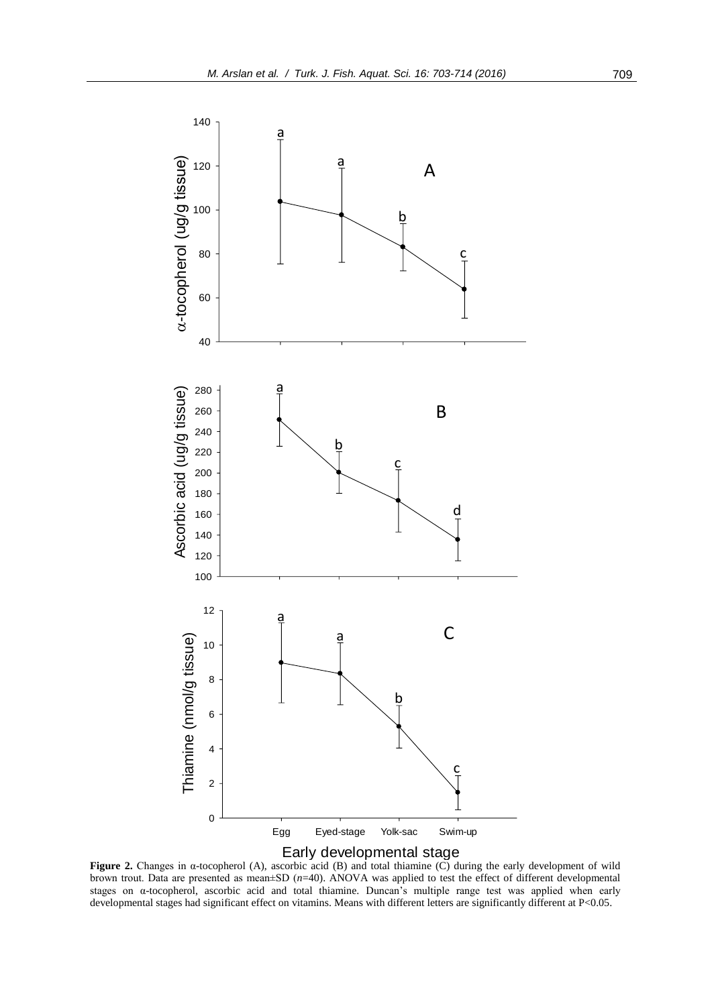



**Figure 2.** Changes in α-tocopherol (A), ascorbic acid (B) and total thiamine (C) during the early development of wild brown trout. Data are presented as mean±SD (*n*=40). ANOVA was applied to test the effect of different developmental stages on α-tocopherol, ascorbic acid and total thiamine. Duncan's multiple range test was applied when early developmental stages had significant effect on vitamins. Means with different letters are significantly different at P<0.05.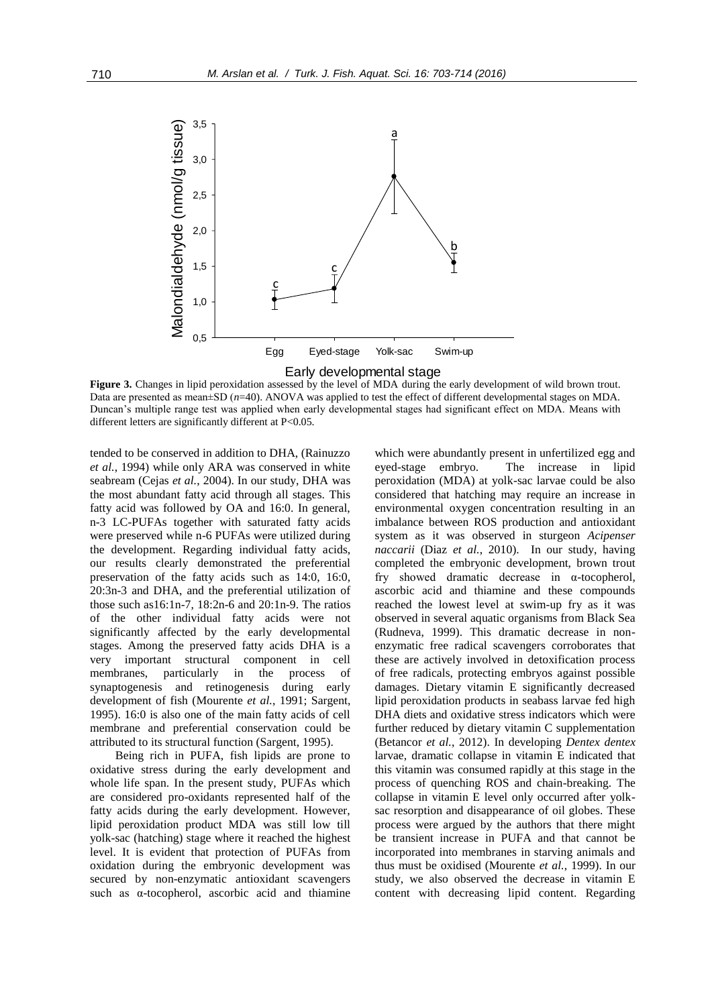

Figure 3. Changes in lipid peroxidation assessed by the level of MDA during the early development of wild brown trout. Data are presented as mean±SD (*n*=40). ANOVA was applied to test the effect of different developmental stages on MDA. Duncan's multiple range test was applied when early developmental stages had significant effect on MDA. Means with different letters are significantly different at P<0.05.

tended to be conserved in addition to DHA, (Rainuzzo *et al.*, 1994) while only ARA was conserved in white seabream (Cejas *et al.*, 2004). In our study, DHA was the most abundant fatty acid through all stages. This fatty acid was followed by OA and 16:0. In general, n-3 LC-PUFAs together with saturated fatty acids were preserved while n-6 PUFAs were utilized during the development. Regarding individual fatty acids, our results clearly demonstrated the preferential preservation of the fatty acids such as 14:0, 16:0, 20:3n-3 and DHA, and the preferential utilization of those such as16:1n-7, 18:2n-6 and 20:1n-9. The ratios of the other individual fatty acids were not significantly affected by the early developmental stages. Among the preserved fatty acids DHA is a very important structural component in cell membranes, particularly in the process of synaptogenesis and retinogenesis during early development of fish (Mourente *et al.*, 1991; Sargent, 1995). 16:0 is also one of the main fatty acids of cell membrane and preferential conservation could be attributed to its structural function (Sargent, 1995).

Being rich in PUFA, fish lipids are prone to oxidative stress during the early development and whole life span. In the present study, PUFAs which are considered pro-oxidants represented half of the fatty acids during the early development. However, lipid peroxidation product MDA was still low till yolk-sac (hatching) stage where it reached the highest level. It is evident that protection of PUFAs from oxidation during the embryonic development was secured by non-enzymatic antioxidant scavengers such as α-tocopherol, ascorbic acid and thiamine

which were abundantly present in unfertilized egg and eyed-stage embryo. The increase in lipid peroxidation (MDA) at yolk-sac larvae could be also considered that hatching may require an increase in environmental oxygen concentration resulting in an imbalance between ROS production and antioxidant system as it was observed in sturgeon *Acipenser naccarii* (Diaz *et al.*, 2010). In our study, having completed the embryonic development, brown trout fry showed dramatic decrease in α-tocopherol, ascorbic acid and thiamine and these compounds reached the lowest level at swim-up fry as it was observed in several aquatic organisms from Black Sea (Rudneva, 1999). This dramatic decrease in nonenzymatic free radical scavengers corroborates that these are actively involved in detoxification process of free radicals, protecting embryos against possible damages. Dietary vitamin E significantly decreased lipid peroxidation products in seabass larvae fed high DHA diets and oxidative stress indicators which were further reduced by dietary vitamin C supplementation (Betancor *et al.*, 2012). In developing *Dentex dentex* larvae, dramatic collapse in vitamin E indicated that this vitamin was consumed rapidly at this stage in the process of quenching ROS and chain-breaking. The collapse in vitamin E level only occurred after yolksac resorption and disappearance of oil globes. These process were argued by the authors that there might be transient increase in PUFA and that cannot be incorporated into membranes in starving animals and thus must be oxidised (Mourente *et al.*, 1999). In our study, we also observed the decrease in vitamin E content with decreasing lipid content. Regarding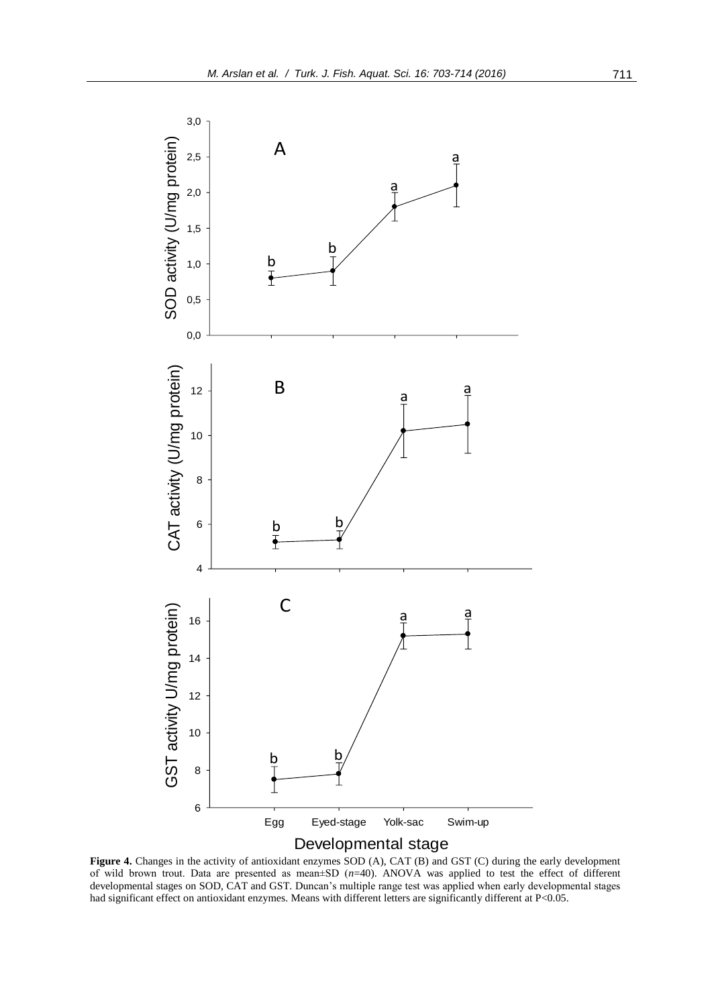

**Figure 4.** Changes in the activity of antioxidant enzymes SOD (A), CAT (B) and GST (C) during the early development of wild brown trout. Data are presented as mean±SD (*n*=40). ANOVA was applied to test the effect of different developmental stages on SOD, CAT and GST. Duncan's multiple range test was applied when early developmental stages had significant effect on antioxidant enzymes. Means with different letters are significantly different at P<0.05.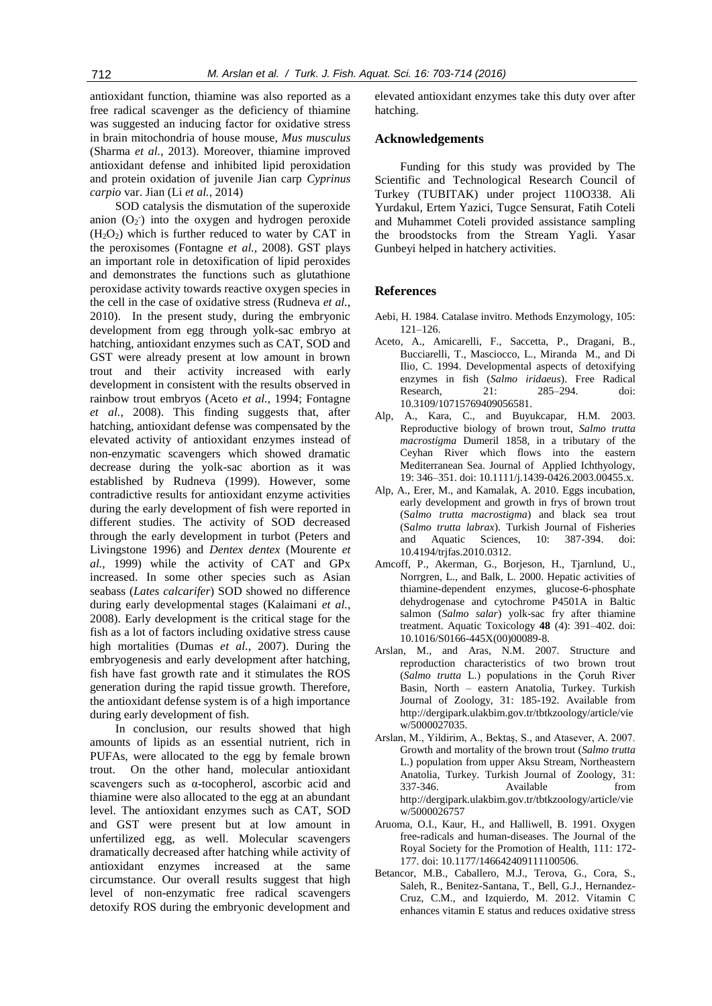antioxidant function, thiamine was also reported as a free radical scavenger as the deficiency of thiamine was suggested an inducing factor for oxidative stress in brain mitochondria of house mouse, *Mus musculus* (Sharma *et al.*, 2013). Moreover, thiamine improved antioxidant defense and inhibited lipid peroxidation and protein oxidation of juvenile Jian carp *Cyprinus carpio* var. Jian (Li *et al.*, 2014)

SOD catalysis the dismutation of the superoxide anion  $(O_2)$  into the oxygen and hydrogen peroxide  $(H<sub>2</sub>O<sub>2</sub>)$  which is further reduced to water by CAT in the peroxisomes (Fontagne *et al.*, 2008). GST plays an important role in detoxification of lipid peroxides and demonstrates the functions such as glutathione peroxidase activity towards reactive oxygen species in the cell in the case of oxidative stress (Rudneva *et al.*, 2010). In the present study, during the embryonic development from egg through yolk-sac embryo at hatching, antioxidant enzymes such as CAT, SOD and GST were already present at low amount in brown trout and their activity increased with early development in consistent with the results observed in rainbow trout embryos (Aceto *et al.*, 1994; Fontagne *et al.*, 2008). This finding suggests that, after hatching, antioxidant defense was compensated by the elevated activity of antioxidant enzymes instead of non-enzymatic scavengers which showed dramatic decrease during the yolk-sac abortion as it was established by Rudneva (1999). However, some contradictive results for antioxidant enzyme activities during the early development of fish were reported in different studies. The activity of SOD decreased through the early development in turbot (Peters and Livingstone 1996) and *Dentex dentex* (Mourente *et al.*, 1999) while the activity of CAT and GPx increased. In some other species such as Asian seabass (*Lates calcarifer*) SOD showed no difference during early developmental stages (Kalaimani *et al.*, 2008). Early development is the critical stage for the fish as a lot of factors including oxidative stress cause high mortalities (Dumas *et al.*, 2007). During the embryogenesis and early development after hatching, fish have fast growth rate and it stimulates the ROS generation during the rapid tissue growth. Therefore, the antioxidant defense system is of a high importance during early development of fish.

In conclusion, our results showed that high amounts of lipids as an essential nutrient, rich in PUFAs, were allocated to the egg by female brown trout. On the other hand, molecular antioxidant scavengers such as α-tocopherol, ascorbic acid and thiamine were also allocated to the egg at an abundant level. The antioxidant enzymes such as CAT, SOD and GST were present but at low amount in unfertilized egg, as well. Molecular scavengers dramatically decreased after hatching while activity of antioxidant enzymes increased at the same circumstance. Our overall results suggest that high level of non-enzymatic free radical scavengers detoxify ROS during the embryonic development and

elevated antioxidant enzymes take this duty over after hatching.

## **Acknowledgements**

Funding for this study was provided by The Scientific and Technological Research Council of Turkey (TUBITAK) under project 110O338. Ali Yurdakul, Ertem Yazici, Tugce Sensurat, Fatih Coteli and Muhammet Coteli provided assistance sampling the broodstocks from the Stream Yagli. Yasar Gunbeyi helped in hatchery activities.

#### **References**

- Aebi, H. 1984. Catalase invitro. Methods Enzymology, 105: 121–126.
- Aceto, A., Amicarelli, F., Saccetta, P., Dragani, B., Bucciarelli, T., Masciocco, L., Miranda M., and Di Ilio, C. 1994. Developmental aspects of detoxifying enzymes in fish (*Salmo iridaeus*). Free Radical Research, 21: 285–294. doi: 10.3109/10715769409056581.
- Alp, A., Kara, C., and Buyukcapar, H.M. 2003. Reproductive biology of brown trout, *Salmo trutta macrostigma* Dumeril 1858, in a tributary of the Ceyhan River which flows into the eastern Mediterranean Sea. Journal of Applied Ichthyology, 19: 346–351. doi: 10.1111/j.1439-0426.2003.00455.x.
- Alp, A., Erer, M., and Kamalak, A. 2010. Eggs incubation, early development and growth in frys of brown trout (S*almo trutta macrostigma*) and black sea trout (S*almo trutta labrax*). Turkish Journal of Fisheries and Aquatic Sciences, 10: 387-394. doi: 10.4194/trjfas.2010.0312.
- Amcoff, P., Akerman, G., Borjeson, H., Tjarnlund, U., Norrgren, L., and Balk, L. 2000. Hepatic activities of thiamine-dependent enzymes, glucose-6-phosphate dehydrogenase and cytochrome P4501A in Baltic salmon (*Salmo salar*) yolk-sac fry after thiamine treatment. Aquatic Toxicology **48** (4): 391–402. doi: 10.1016/S0166-445X(00)00089-8.
- Arslan, M., and Aras, N.M. 2007. Structure and reproduction characteristics of two brown trout (*Salmo trutta* L.) populations in the Çoruh River Basin, North – eastern Anatolia, Turkey. Turkish Journal of Zoology, 31: 185-192. Available from http://dergipark.ulakbim.gov.tr/tbtkzoology/article/vie w/5000027035.
- Arslan, M., Yildirim, A., Bektaş, S., and Atasever, A. 2007. Growth and mortality of the brown trout (*Salmo trutta* L.) population from upper Aksu Stream, Northeastern Anatolia, Turkey. Turkish Journal of Zoology, 31: 337-346. Available from http://dergipark.ulakbim.gov.tr/tbtkzoology/article/vie w/5000026757
- Aruoma, O.I., Kaur, H., and Halliwell, B. 1991. Oxygen free-radicals and human-diseases. The Journal of the Royal Society for the Promotion of Health, 111: 172- 177. doi: 10.1177/146642409111100506.
- Betancor, M.B., Caballero, M.J., Terova, G., Cora, S., Saleh, R., Benitez-Santana, T., Bell, G.J., Hernandez-Cruz, C.M., and Izquierdo, M. 2012. Vitamin C enhances vitamin E status and reduces oxidative stress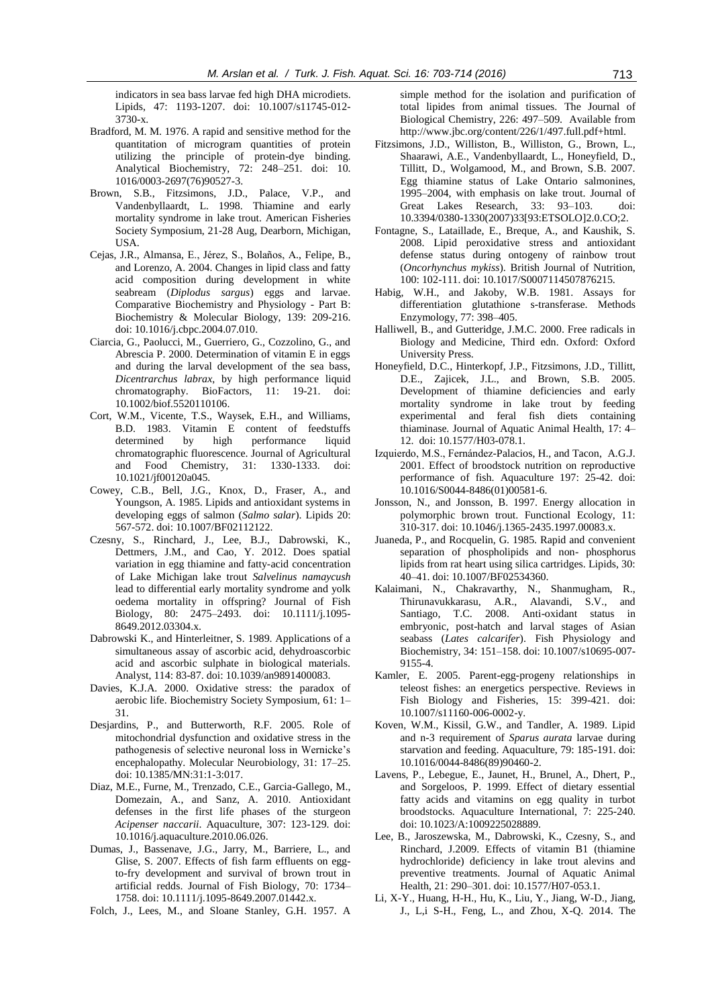indicators in sea bass larvae fed high DHA microdiets. Lipids, 47: 1193-1207. doi: 10.1007/s11745-012- 3730-x.

- Bradford, M. M. 1976. A rapid and sensitive method for the quantitation of microgram quantities of protein utilizing the principle of protein-dye binding. Analytical Biochemistry, 72: 248–251. doi: 10. 1016/0003-2697(76)90527-3.
- Brown, S.B., Fitzsimons, J.D., Palace, V.P., and Vandenbyllaardt, L. 1998. Thiamine and early mortality syndrome in lake trout. American Fisheries Society Symposium, 21-28 Aug, Dearborn, Michigan, USA.
- Cejas, J.R., Almansa, E., Jérez, S., Bolaños, A., Felipe, B., and Lorenzo, A. 2004. Changes in lipid class and fatty acid composition during development in white seabream (*Diplodus sargus*) eggs and larvae. Comparative Biochemistry and Physiology - Part B: Biochemistry & Molecular Biology, 139: 209-216. doi: 10.1016/j.cbpc.2004.07.010.
- Ciarcia, G., Paolucci, M., Guerriero, G., Cozzolino, G., and Abrescia P. 2000. Determination of vitamin E in eggs and during the larval development of the sea bass, *Dicentrarchus labrax*, by high performance liquid chromatography. BioFactors, 11: 19-21. doi: 10.1002/biof.5520110106.
- Cort, W.M., Vicente, T.S., Waysek, E.H., and Williams, B.D. 1983. Vitamin E content of feedstuffs determined by high performance liquid chromatographic fluorescence. Journal of Agricultural and Food Chemistry, 31: 1330-1333. doi: 10.1021/jf00120a045.
- Cowey, C.B., Bell, J.G., Knox, D., Fraser, A., and Youngson, A. 1985. Lipids and antioxidant systems in developing eggs of salmon (*Salmo salar*). Lipids 20: 567-572. doi: 10.1007/BF02112122.
- Czesny, S., Rinchard, J., Lee, B.J., Dabrowski, K., Dettmers, J.M., and Cao, Y. 2012. Does spatial variation in egg thiamine and fatty-acid concentration of Lake Michigan lake trout *Salvelinus namaycush* lead to differential early mortality syndrome and yolk oedema mortality in offspring? Journal of Fish Biology, 80: 2475–2493. doi: 10.1111/j.1095- 8649.2012.03304.x.
- Dabrowski K., and Hinterleitner, S. 1989. Applications of a simultaneous assay of ascorbic acid, dehydroascorbic acid and ascorbic sulphate in biological materials. Analyst, 114: 83-87. doi: 10.1039/an9891400083.
- Davies, K.J.A. 2000. Oxidative stress: the paradox of aerobic life. Biochemistry Society Symposium, 61: 1– 31.
- Desjardins, P., and Butterworth, R.F. 2005. Role of mitochondrial dysfunction and oxidative stress in the pathogenesis of selective neuronal loss in Wernicke's encephalopathy. Molecular Neurobiology, 31: 17–25. doi: 10.1385/MN:31:1-3:017.
- Diaz, M.E., Furne, M., Trenzado, C.E., Garcia-Gallego, M., Domezain, A., and Sanz, A. 2010. Antioxidant defenses in the first life phases of the sturgeon *Acipenser naccarii*. Aquaculture, 307: 123-129. doi: 10.1016/j.aquaculture.2010.06.026.
- Dumas, J., Bassenave, J.G., Jarry, M., Barriere, L., and Glise, S. 2007. Effects of fish farm effluents on eggto-fry development and survival of brown trout in artificial redds. Journal of Fish Biology, 70: 1734– 1758. doi: 10.1111/j.1095-8649.2007.01442.x.
- Folch, J., Lees, M., and Sloane Stanley, G.H. 1957. A

simple method for the isolation and purification of total lipides from animal tissues. The Journal of Biological Chemistry, 226: 497–509. Available from http://www.jbc.org/content/226/1/497.full.pdf+html.

- Fitzsimons, J.D., Williston, B., Williston, G., Brown, L., Shaarawi, A.E., Vandenbyllaardt, L., Honeyfield, D., Tillitt, D., Wolgamood, M., and Brown, S.B. 2007. Egg thiamine status of Lake Ontario salmonines, 1995–2004, with emphasis on lake trout. Journal of Great Lakes Research, 33: 93–103. doi: 10.3394/0380-1330(2007)33[93:ETSOLO]2.0.CO;2.
- Fontagne, S., Lataillade, E., Breque, A., and Kaushik, S. 2008. Lipid peroxidative stress and antioxidant defense status during ontogeny of rainbow trout (*Oncorhynchus mykiss*). British Journal of Nutrition, 100: 102-111. doi: 10.1017/S0007114507876215.
- Habig, W.H., and Jakoby, W.B. 1981. Assays for differentiation glutathione s-transferase. Methods Enzymology, 77: 398–405.
- Halliwell, B., and Gutteridge, J.M.C. 2000. Free radicals in Biology and Medicine, Third edn. Oxford: Oxford University Press.
- Honeyfield, D.C., Hinterkopf, J.P., Fitzsimons, J.D., Tillitt, D.E., Zajicek, J.L., and Brown, S.B. 2005. Development of thiamine deficiencies and early mortality syndrome in lake trout by feeding experimental and feral fish diets containing thiaminase*.* Journal of Aquatic Animal Health, 17: 4– 12. doi: 10.1577/H03-078.1.
- Izquierdo, M.S., Fernández-Palacios, H., and Tacon, A.G.J. 2001. Effect of broodstock nutrition on reproductive performance of fish. Aquaculture 197: 25-42. doi: 10.1016/S0044-8486(01)00581-6.
- Jonsson, N., and Jonsson, B. 1997. Energy allocation in polymorphic brown trout. Functional Ecology, 11: 310-317. doi: 10.1046/j.1365-2435.1997.00083.x.
- Juaneda, P., and Rocquelin, G. 1985. Rapid and convenient separation of phospholipids and non- phosphorus lipids from rat heart using silica cartridges. Lipids, 30: 40–41. doi: 10.1007/BF02534360.
- Kalaimani, N., Chakravarthy, N., Shanmugham, R., Thirunavukkarasu, A.R., Alavandi, S.V., and Santiago, T.C. 2008. Anti-oxidant status in embryonic, post-hatch and larval stages of Asian seabass (*Lates calcarifer*). Fish Physiology and Biochemistry, 34: 151–158. doi: 10.1007/s10695-007- 9155-4.
- Kamler, E. 2005. Parent-egg-progeny relationships in teleost fishes: an energetics perspective. Reviews in Fish Biology and Fisheries, 15: 399-421. doi: 10.1007/s11160-006-0002-y.
- Koven, W.M., Kissil, G.W., and Tandler, A. 1989. Lipid and n-3 requirement of *Sparus aurata* larvae during starvation and feeding. Aquaculture, 79: 185-191. doi: 10.1016/0044-8486(89)90460-2.
- Lavens, P., Lebegue, E., Jaunet, H., Brunel, A., Dhert, P., and Sorgeloos, P. 1999. Effect of dietary essential fatty acids and vitamins on egg quality in turbot broodstocks. Aquaculture International, 7: 225-240. doi: 10.1023/A:1009225028889.
- Lee, B., Jaroszewska, M., Dabrowski, K., Czesny, S., and Rinchard, J.2009. Effects of vitamin B1 (thiamine hydrochloride) deficiency in lake trout alevins and preventive treatments. Journal of Aquatic Animal Health, 21: 290–301. doi: 10.1577/H07-053.1.
- Li, X-Y., Huang, H-H., Hu, K., Liu, Y., Jiang, W-D., Jiang, J., L,i S-H., Feng, L., and Zhou, X-Q. 2014. The